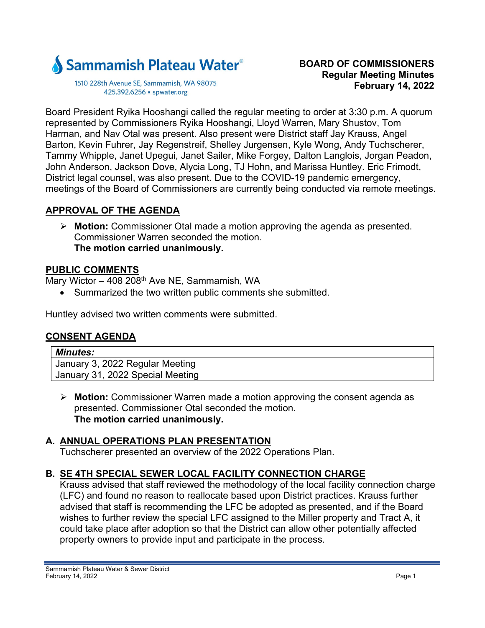

1510 228th Avenue SE, Sammamish, WA 98075 425.392.6256 · spwater.org

Board President Ryika Hooshangi called the regular meeting to order at 3:30 p.m. A quorum represented by Commissioners Ryika Hooshangi, Lloyd Warren, Mary Shustov, Tom Harman, and Nav Otal was present. Also present were District staff Jay Krauss, Angel Barton, Kevin Fuhrer, Jay Regenstreif, Shelley Jurgensen, Kyle Wong, Andy Tuchscherer, Tammy Whipple, Janet Upegui, Janet Sailer, Mike Forgey, Dalton Langlois, Jorgan Peadon, John Anderson, Jackson Dove, Alycia Long, TJ Hohn, and Marissa Huntley. Eric Frimodt, District legal counsel, was also present. Due to the COVID-19 pandemic emergency, meetings of the Board of Commissioners are currently being conducted via remote meetings.

#### **APPROVAL OF THE AGENDA**

 **Motion:** Commissioner Otal made a motion approving the agenda as presented. Commissioner Warren seconded the motion. **The motion carried unanimously.** 

### **PUBLIC COMMENTS**

Mary Wictor – 408 208<sup>th</sup> Ave NE, Sammamish, WA

Summarized the two written public comments she submitted.

Huntley advised two written comments were submitted.

# **CONSENT AGENDA**

| <b>Minutes:</b>                  |
|----------------------------------|
| January 3, 2022 Regular Meeting  |
| January 31, 2022 Special Meeting |

 **Motion:** Commissioner Warren made a motion approving the consent agenda as presented. Commissioner Otal seconded the motion. **The motion carried unanimously.** 

# **A. ANNUAL OPERATIONS PLAN PRESENTATION**

Tuchscherer presented an overview of the 2022 Operations Plan.

# **B. SE 4TH SPECIAL SEWER LOCAL FACILITY CONNECTION CHARGE**

Krauss advised that staff reviewed the methodology of the local facility connection charge (LFC) and found no reason to reallocate based upon District practices. Krauss further advised that staff is recommending the LFC be adopted as presented, and if the Board wishes to further review the special LFC assigned to the Miller property and Tract A, it could take place after adoption so that the District can allow other potentially affected property owners to provide input and participate in the process.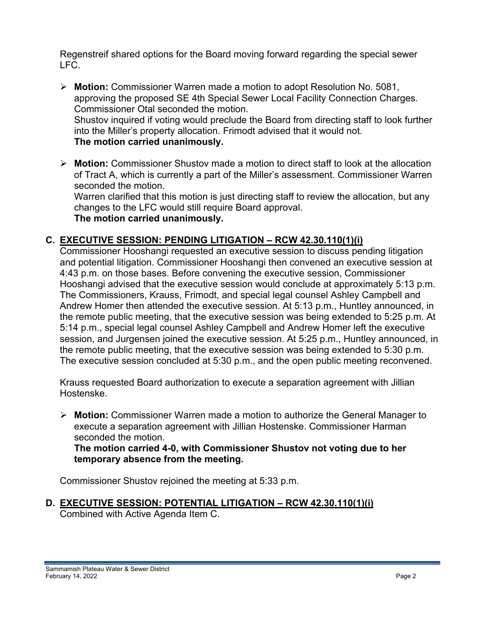Regenstreif shared options for the Board moving forward regarding the special sewer LFC.

- **Motion:** Commissioner Warren made a motion to adopt Resolution No. 5081, approving the proposed SE 4th Special Sewer Local Facility Connection Charges. Commissioner Otal seconded the motion. Shustov inquired if voting would preclude the Board from directing staff to look further into the Miller's property allocation. Frimodt advised that it would not. **The motion carried unanimously.**
- **Motion:** Commissioner Shustov made a motion to direct staff to look at the allocation of Tract A, which is currently a part of the Miller's assessment. Commissioner Warren seconded the motion. Warren clarified that this motion is just directing staff to review the allocation, but any

changes to the LFC would still require Board approval. **The motion carried unanimously.** 

# **C. EXECUTIVE SESSION: PENDING LITIGATION – RCW 42.30.110(1)(i)**

Commissioner Hooshangi requested an executive session to discuss pending litigation and potential litigation. Commissioner Hooshangi then convened an executive session at 4:43 p.m. on those bases. Before convening the executive session, Commissioner Hooshangi advised that the executive session would conclude at approximately 5:13 p.m. The Commissioners, Krauss, Frimodt, and special legal counsel Ashley Campbell and Andrew Homer then attended the executive session. At 5:13 p.m., Huntley announced, in the remote public meeting, that the executive session was being extended to 5:25 p.m. At 5:14 p.m., special legal counsel Ashley Campbell and Andrew Homer left the executive session, and Jurgensen joined the executive session. At 5:25 p.m., Huntley announced, in the remote public meeting, that the executive session was being extended to 5:30 p.m. The executive session concluded at 5:30 p.m., and the open public meeting reconvened.

Krauss requested Board authorization to execute a separation agreement with Jillian Hostenske.

 **Motion:** Commissioner Warren made a motion to authorize the General Manager to execute a separation agreement with Jillian Hostenske. Commissioner Harman seconded the motion.

**The motion carried 4-0, with Commissioner Shustov not voting due to her temporary absence from the meeting.**

Commissioner Shustov rejoined the meeting at 5:33 p.m.

**D. EXECUTIVE SESSION: POTENTIAL LITIGATION – RCW 42.30.110(1)(i)**  Combined with Active Agenda Item C.